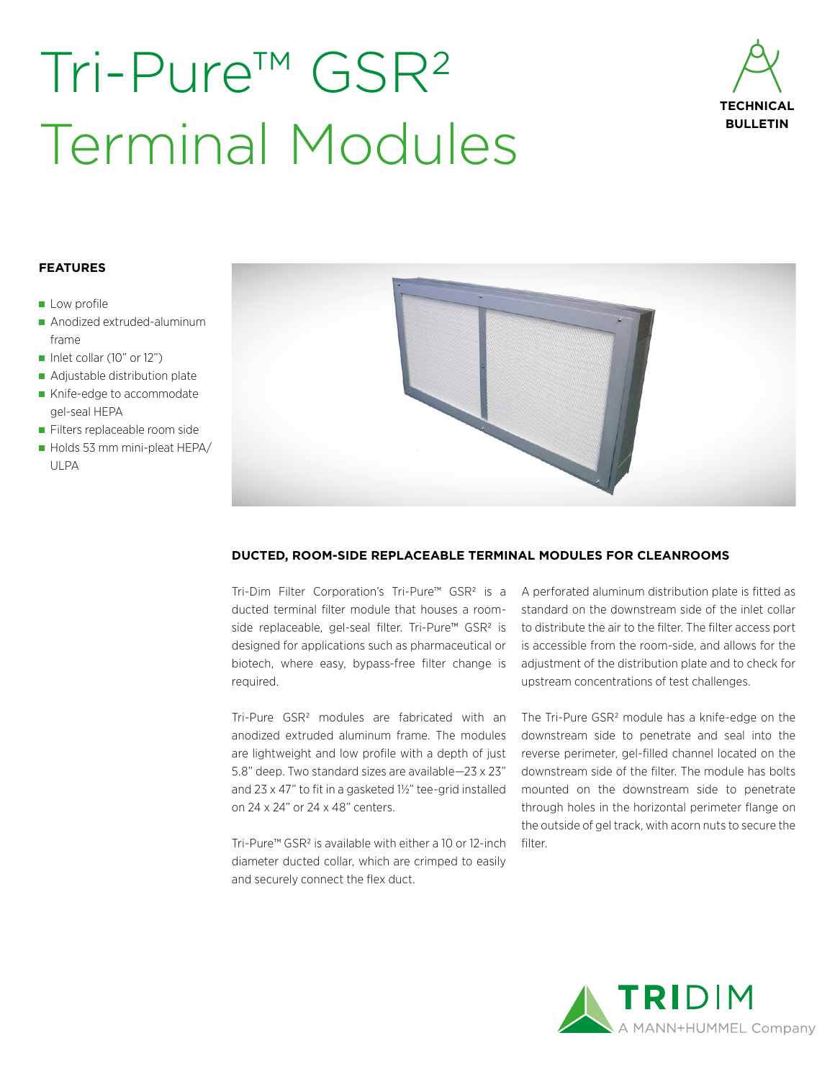# Tri-Pure™ GSR2 Terminal Modules



#### **FEATURES**

- **Low profile**
- Anodized extruded-aluminum frame
- Inlet collar (10" or 12")
- Adjustable distribution plate
- Knife-edge to accommodate gel-seal HEPA
- Filters replaceable room side
- Holds 53 mm mini-pleat HEPA/ ULPA



### **DUCTED, ROOM-SIDE REPLACEABLE TERMINAL MODULES FOR CLEANROOMS**

Tri-Dim Filter Corporation's Tri-Pure™ GSR2 is a ducted terminal filter module that houses a roomside replaceable, gel-seal filter. Tri-Pure™ GSR2 is designed for applications such as pharmaceutical or biotech, where easy, bypass-free filter change is required.

Tri-Pure GSR2 modules are fabricated with an anodized extruded aluminum frame. The modules are lightweight and low profile with a depth of just 5.8" deep. Two standard sizes are available—23 x 23" and 23 x 47" to fit in a gasketed 1½" tee-grid installed on 24 x 24" or 24 x 48" centers.

Tri-Pure™ GSR2 is available with either a 10 or 12-inch diameter ducted collar, which are crimped to easily and securely connect the flex duct.

A perforated aluminum distribution plate is fitted as standard on the downstream side of the inlet collar to distribute the air to the filter. The filter access port is accessible from the room-side, and allows for the adjustment of the distribution plate and to check for upstream concentrations of test challenges.

The Tri-Pure GSR<sup>2</sup> module has a knife-edge on the downstream side to penetrate and seal into the reverse perimeter, gel-filled channel located on the downstream side of the filter. The module has bolts mounted on the downstream side to penetrate through holes in the horizontal perimeter flange on the outside of gel track, with acorn nuts to secure the filter.